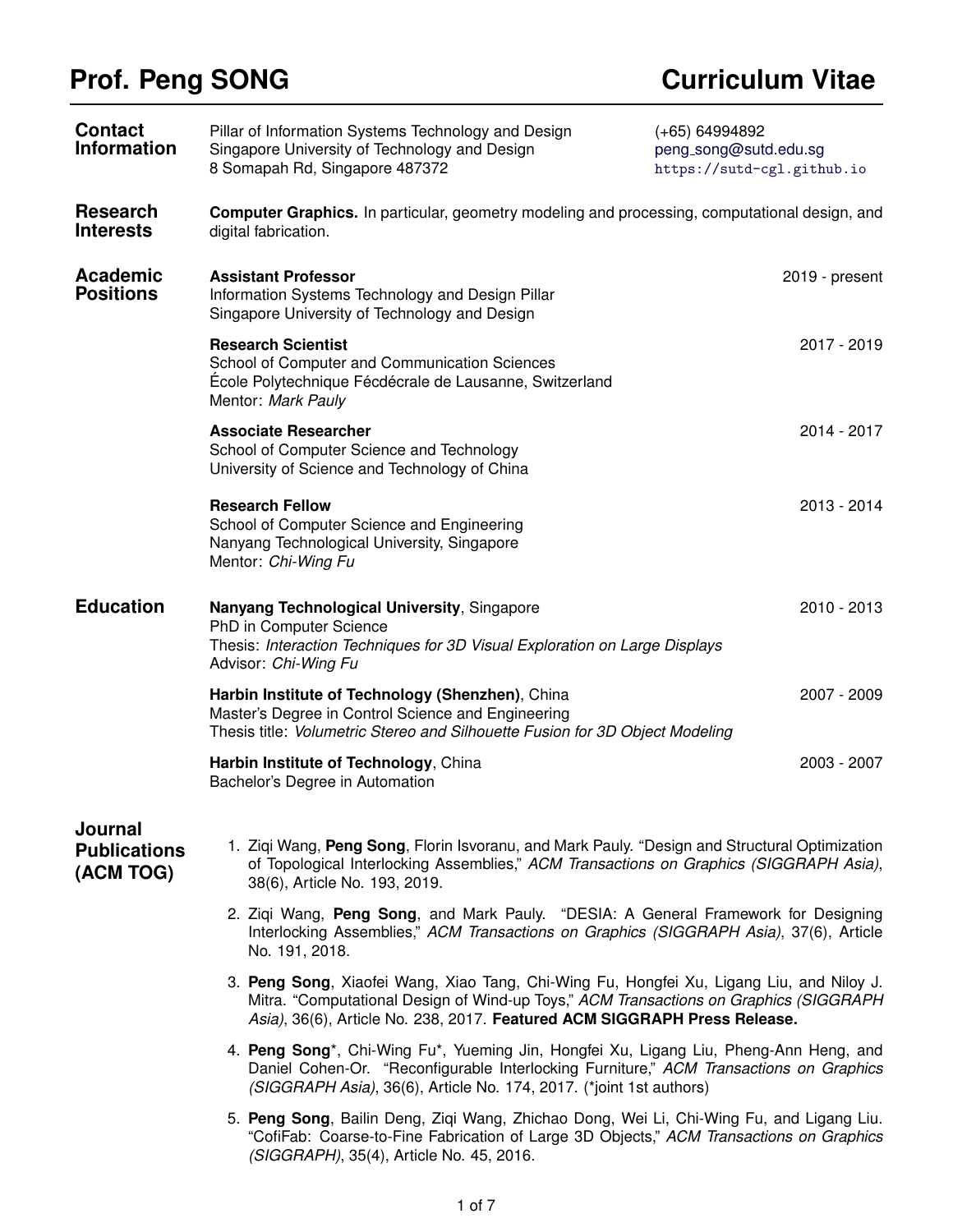## **Prof. Peng SONG Curriculum Vitae**

| <b>Contact</b><br><b>Information</b>        | Pillar of Information Systems Technology and Design<br>Singapore University of Technology and Design<br>8 Somapah Rd, Singapore 487372                                                                                                                         | $(+65)$ 64994892<br>peng_song@sutd.edu.sg<br>https://sutd-cgl.github.io |  |
|---------------------------------------------|----------------------------------------------------------------------------------------------------------------------------------------------------------------------------------------------------------------------------------------------------------------|-------------------------------------------------------------------------|--|
| <b>Research</b><br><b>Interests</b>         | <b>Computer Graphics.</b> In particular, geometry modeling and processing, computational design, and<br>digital fabrication.                                                                                                                                   |                                                                         |  |
| <b>Academic</b><br><b>Positions</b>         | <b>Assistant Professor</b><br>Information Systems Technology and Design Pillar<br>Singapore University of Technology and Design                                                                                                                                | 2019 - present                                                          |  |
|                                             | <b>Research Scientist</b><br>School of Computer and Communication Sciences<br>École Polytechnique Fécdécrale de Lausanne, Switzerland<br>Mentor: Mark Pauly                                                                                                    | 2017 - 2019                                                             |  |
|                                             | <b>Associate Researcher</b><br>School of Computer Science and Technology<br>University of Science and Technology of China                                                                                                                                      | 2014 - 2017                                                             |  |
|                                             | <b>Research Fellow</b><br>School of Computer Science and Engineering<br>Nanyang Technological University, Singapore<br>Mentor: Chi-Wing Fu                                                                                                                     | 2013 - 2014                                                             |  |
| <b>Education</b>                            | Nanyang Technological University, Singapore<br>PhD in Computer Science<br>Thesis: Interaction Techniques for 3D Visual Exploration on Large Displays<br>Advisor: Chi-Wing Fu                                                                                   | 2010 - 2013                                                             |  |
|                                             | Harbin Institute of Technology (Shenzhen), China<br>Master's Degree in Control Science and Engineering<br>Thesis title: Volumetric Stereo and Silhouette Fusion for 3D Object Modeling                                                                         | 2007 - 2009                                                             |  |
|                                             | Harbin Institute of Technology, China<br>Bachelor's Degree in Automation                                                                                                                                                                                       | 2003 - 2007                                                             |  |
| Journal<br><b>Publications</b><br>(ACM TOG) | 1. Zigi Wang, Peng Song, Florin Isvoranu, and Mark Pauly. "Design and Structural Optimization<br>of Topological Interlocking Assemblies," ACM Transactions on Graphics (SIGGRAPH Asia),<br>38(6), Article No. 193, 2019.                                       |                                                                         |  |
|                                             | 2. Zigi Wang, Peng Song, and Mark Pauly. "DESIA: A General Framework for Designing<br>Interlocking Assemblies," ACM Transactions on Graphics (SIGGRAPH Asia), 37(6), Article<br>No. 191, 2018.                                                                 |                                                                         |  |
|                                             | 3. Peng Song, Xiaofei Wang, Xiao Tang, Chi-Wing Fu, Hongfei Xu, Ligang Liu, and Niloy J.<br>Mitra. "Computational Design of Wind-up Toys," ACM Transactions on Graphics (SIGGRAPH<br>Asia), 36(6), Article No. 238, 2017. Featured ACM SIGGRAPH Press Release. |                                                                         |  |
|                                             | 4. Peng Song*, Chi-Wing Fu*, Yueming Jin, Hongfei Xu, Ligang Liu, Pheng-Ann Heng, and<br>Daniel Cohen-Or. "Reconfigurable Interlocking Furniture," ACM Transactions on Graphics<br>(SIGGRAPH Asia), 36(6), Article No. 174, 2017. (*joint 1st authors)         |                                                                         |  |
|                                             |                                                                                                                                                                                                                                                                |                                                                         |  |

5. **Peng Song**, Bailin Deng, Ziqi Wang, Zhichao Dong, Wei Li, Chi-Wing Fu, and Ligang Liu. "CofiFab: Coarse-to-Fine Fabrication of Large 3D Objects," *ACM Transactions on Graphics (SIGGRAPH)*, 35(4), Article No. 45, 2016.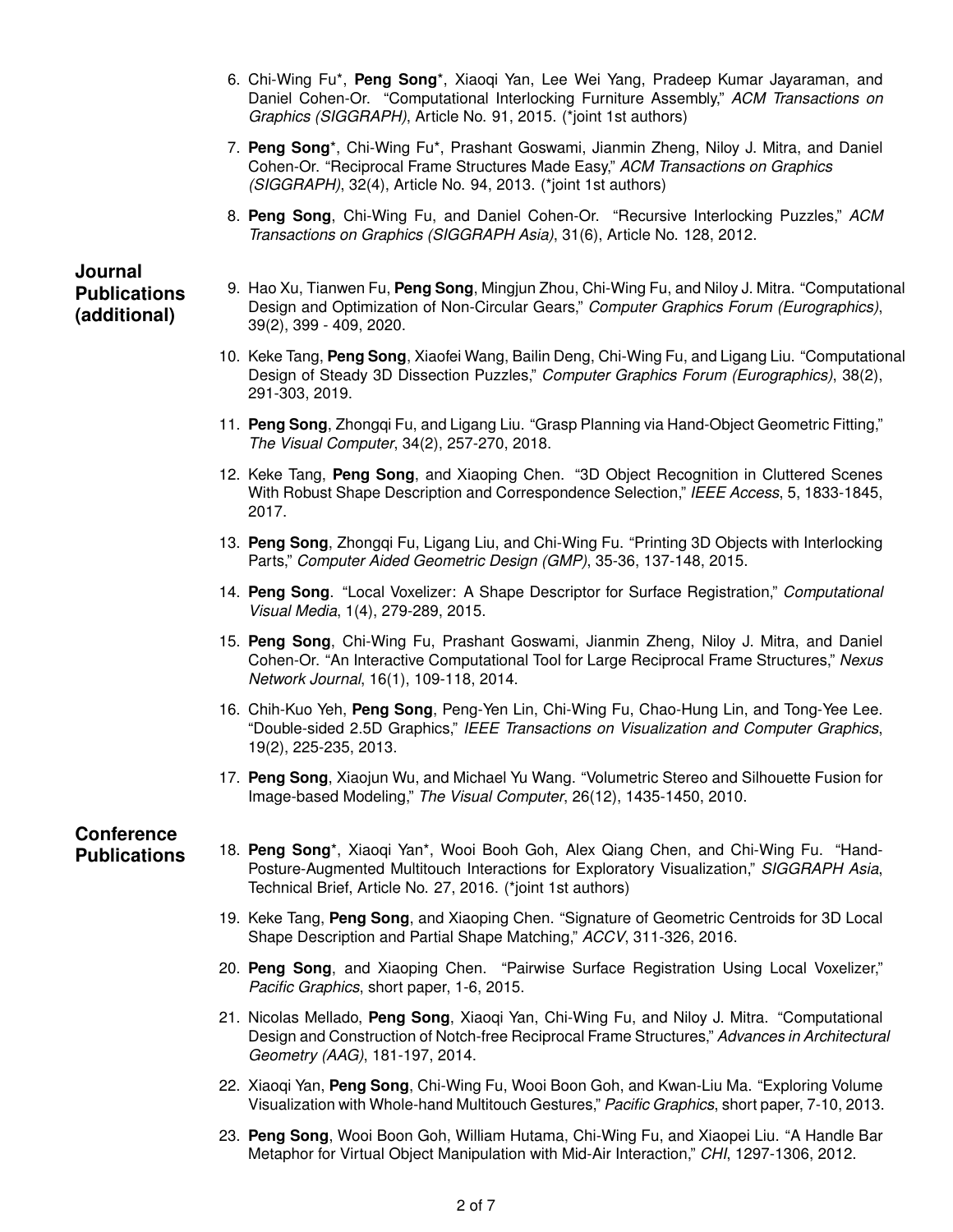- 6. Chi-Wing Fu\*, **Peng Song**\*, Xiaoqi Yan, Lee Wei Yang, Pradeep Kumar Jayaraman, and Daniel Cohen-Or. "Computational Interlocking Furniture Assembly," *ACM Transactions on Graphics (SIGGRAPH)*, Article No. 91, 2015. (\*joint 1st authors)
- 7. **Peng Song**\*, Chi-Wing Fu\*, Prashant Goswami, Jianmin Zheng, Niloy J. Mitra, and Daniel Cohen-Or. "Reciprocal Frame Structures Made Easy," *ACM Transactions on Graphics (SIGGRAPH)*, 32(4), Article No. 94, 2013. (\*joint 1st authors)
- 8. **Peng Song**, Chi-Wing Fu, and Daniel Cohen-Or. "Recursive Interlocking Puzzles," *ACM Transactions on Graphics (SIGGRAPH Asia)*, 31(6), Article No. 128, 2012.

### **Journal Publications (additional)**

- 9. Hao Xu, Tianwen Fu, **Peng Song**, Mingjun Zhou, Chi-Wing Fu, and Niloy J. Mitra. "Computational Design and Optimization of Non-Circular Gears," *Computer Graphics Forum (Eurographics)*, 39(2), 399 - 409, 2020.
- 10. Keke Tang, **Peng Song**, Xiaofei Wang, Bailin Deng, Chi-Wing Fu, and Ligang Liu. "Computational Design of Steady 3D Dissection Puzzles," *Computer Graphics Forum (Eurographics)*, 38(2), 291-303, 2019.
- 11. **Peng Song**, Zhongqi Fu, and Ligang Liu. "Grasp Planning via Hand-Object Geometric Fitting," *The Visual Computer*, 34(2), 257-270, 2018.
- 12. Keke Tang, **Peng Song**, and Xiaoping Chen. "3D Object Recognition in Cluttered Scenes With Robust Shape Description and Correspondence Selection," *IEEE Access*, 5, 1833-1845, 2017.
- 13. **Peng Song**, Zhongqi Fu, Ligang Liu, and Chi-Wing Fu. "Printing 3D Objects with Interlocking Parts," *Computer Aided Geometric Design (GMP)*, 35-36, 137-148, 2015.
- 14. **Peng Song**. "Local Voxelizer: A Shape Descriptor for Surface Registration," *Computational Visual Media*, 1(4), 279-289, 2015.
- 15. **Peng Song**, Chi-Wing Fu, Prashant Goswami, Jianmin Zheng, Niloy J. Mitra, and Daniel Cohen-Or. "An Interactive Computational Tool for Large Reciprocal Frame Structures," *Nexus Network Journal*, 16(1), 109-118, 2014.
- 16. Chih-Kuo Yeh, **Peng Song**, Peng-Yen Lin, Chi-Wing Fu, Chao-Hung Lin, and Tong-Yee Lee. "Double-sided 2.5D Graphics," *IEEE Transactions on Visualization and Computer Graphics*, 19(2), 225-235, 2013.
- 17. **Peng Song**, Xiaojun Wu, and Michael Yu Wang. "Volumetric Stereo and Silhouette Fusion for Image-based Modeling," *The Visual Computer*, 26(12), 1435-1450, 2010.

# **Conference**

- **Publications** 18. **Peng Song**\*, Xiaoqi Yan\*, Wooi Booh Goh, Alex Qiang Chen, and Chi-Wing Fu. "Hand-Posture-Augmented Multitouch Interactions for Exploratory Visualization," *SIGGRAPH Asia*, Technical Brief, Article No. 27, 2016. (\*joint 1st authors)
	- 19. Keke Tang, **Peng Song**, and Xiaoping Chen. "Signature of Geometric Centroids for 3D Local Shape Description and Partial Shape Matching," *ACCV*, 311-326, 2016.
	- 20. **Peng Song**, and Xiaoping Chen. "Pairwise Surface Registration Using Local Voxelizer," *Pacific Graphics*, short paper, 1-6, 2015.
	- 21. Nicolas Mellado, **Peng Song**, Xiaoqi Yan, Chi-Wing Fu, and Niloy J. Mitra. "Computational Design and Construction of Notch-free Reciprocal Frame Structures," *Advances in Architectural Geometry (AAG)*, 181-197, 2014.
	- 22. Xiaoqi Yan, **Peng Song**, Chi-Wing Fu, Wooi Boon Goh, and Kwan-Liu Ma. "Exploring Volume Visualization with Whole-hand Multitouch Gestures," *Pacific Graphics*, short paper, 7-10, 2013.
	- 23. **Peng Song**, Wooi Boon Goh, William Hutama, Chi-Wing Fu, and Xiaopei Liu. "A Handle Bar Metaphor for Virtual Object Manipulation with Mid-Air Interaction," *CHI*, 1297-1306, 2012.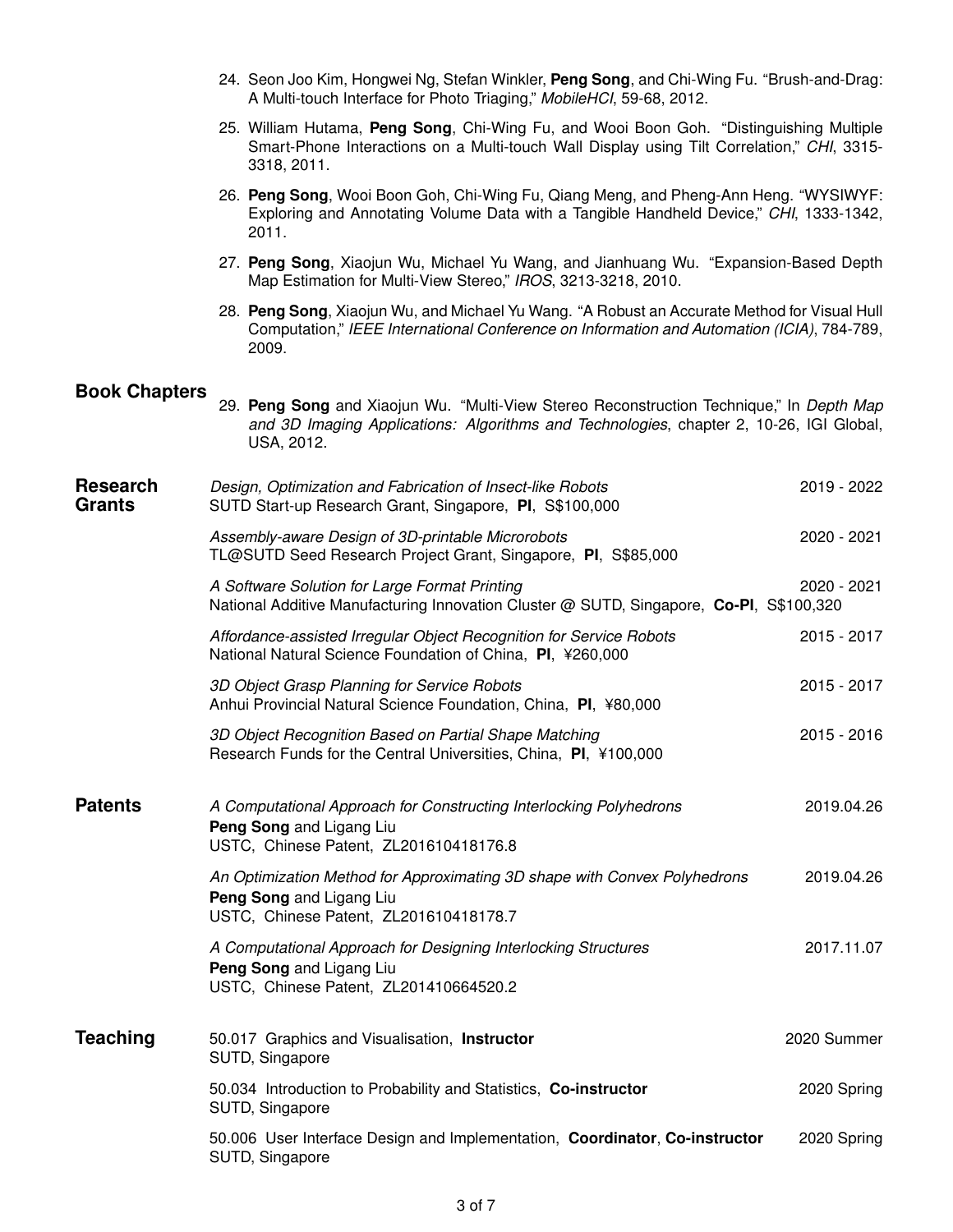- 24. Seon Joo Kim, Hongwei Ng, Stefan Winkler, **Peng Song**, and Chi-Wing Fu. "Brush-and-Drag: A Multi-touch Interface for Photo Triaging," *MobileHCI*, 59-68, 2012.
- 25. William Hutama, **Peng Song**, Chi-Wing Fu, and Wooi Boon Goh. "Distinguishing Multiple Smart-Phone Interactions on a Multi-touch Wall Display using Tilt Correlation," *CHI*, 3315- 3318, 2011.
- 26. **Peng Song**, Wooi Boon Goh, Chi-Wing Fu, Qiang Meng, and Pheng-Ann Heng. "WYSIWYF: Exploring and Annotating Volume Data with a Tangible Handheld Device," *CHI*, 1333-1342, 2011.
- 27. **Peng Song**, Xiaojun Wu, Michael Yu Wang, and Jianhuang Wu. "Expansion-Based Depth Map Estimation for Multi-View Stereo," *IROS*, 3213-3218, 2010.
- 28. **Peng Song**, Xiaojun Wu, and Michael Yu Wang. "A Robust an Accurate Method for Visual Hull Computation," *IEEE International Conference on Information and Automation (ICIA)*, 784-789, 2009.

#### **Book Chapters**

| 29. Peng Song and Xiaojun Wu. "Multi-View Stereo Reconstruction Technique," In Depth Map |  |  |  |  |
|------------------------------------------------------------------------------------------|--|--|--|--|
| and 3D Imaging Applications: Algorithms and Technologies, chapter 2, 10-26, IGI Global,  |  |  |  |  |
| USA. 2012.                                                                               |  |  |  |  |

| <b>Research</b><br><b>Grants</b> | Design, Optimization and Fabrication of Insect-like Robots<br>SUTD Start-up Research Grant, Singapore, PI, S\$100,000                           | 2019 - 2022 |
|----------------------------------|-------------------------------------------------------------------------------------------------------------------------------------------------|-------------|
|                                  | Assembly-aware Design of 3D-printable Microrobots<br>TL@SUTD Seed Research Project Grant, Singapore, PI, S\$85,000                              | 2020 - 2021 |
|                                  | A Software Solution for Large Format Printing<br>National Additive Manufacturing Innovation Cluster @ SUTD, Singapore, Co-PI, S\$100,320        | 2020 - 2021 |
|                                  | Affordance-assisted Irregular Object Recognition for Service Robots<br>National Natural Science Foundation of China, PI, ¥260,000               | 2015 - 2017 |
|                                  | 3D Object Grasp Planning for Service Robots<br>Anhui Provincial Natural Science Foundation, China, PI, ¥80,000                                  | 2015 - 2017 |
|                                  | 3D Object Recognition Based on Partial Shape Matching<br>Research Funds for the Central Universities, China, PI, ¥100,000                       | 2015 - 2016 |
| <b>Patents</b>                   | A Computational Approach for Constructing Interlocking Polyhedrons<br>Peng Song and Ligang Liu<br>USTC, Chinese Patent, ZL201610418176.8        | 2019.04.26  |
|                                  | An Optimization Method for Approximating 3D shape with Convex Polyhedrons<br>Peng Song and Ligang Liu<br>USTC, Chinese Patent, ZL201610418178.7 | 2019.04.26  |
|                                  | A Computational Approach for Designing Interlocking Structures<br>Peng Song and Ligang Liu<br>USTC, Chinese Patent, ZL201410664520.2            | 2017.11.07  |
| <b>Teaching</b>                  | 50.017 Graphics and Visualisation, Instructor<br>SUTD, Singapore                                                                                | 2020 Summer |
|                                  | 50.034 Introduction to Probability and Statistics, Co-instructor<br>SUTD, Singapore                                                             | 2020 Spring |
|                                  | 50.006 User Interface Design and Implementation, Coordinator, Co-instructor<br>SUTD, Singapore                                                  | 2020 Spring |
|                                  |                                                                                                                                                 |             |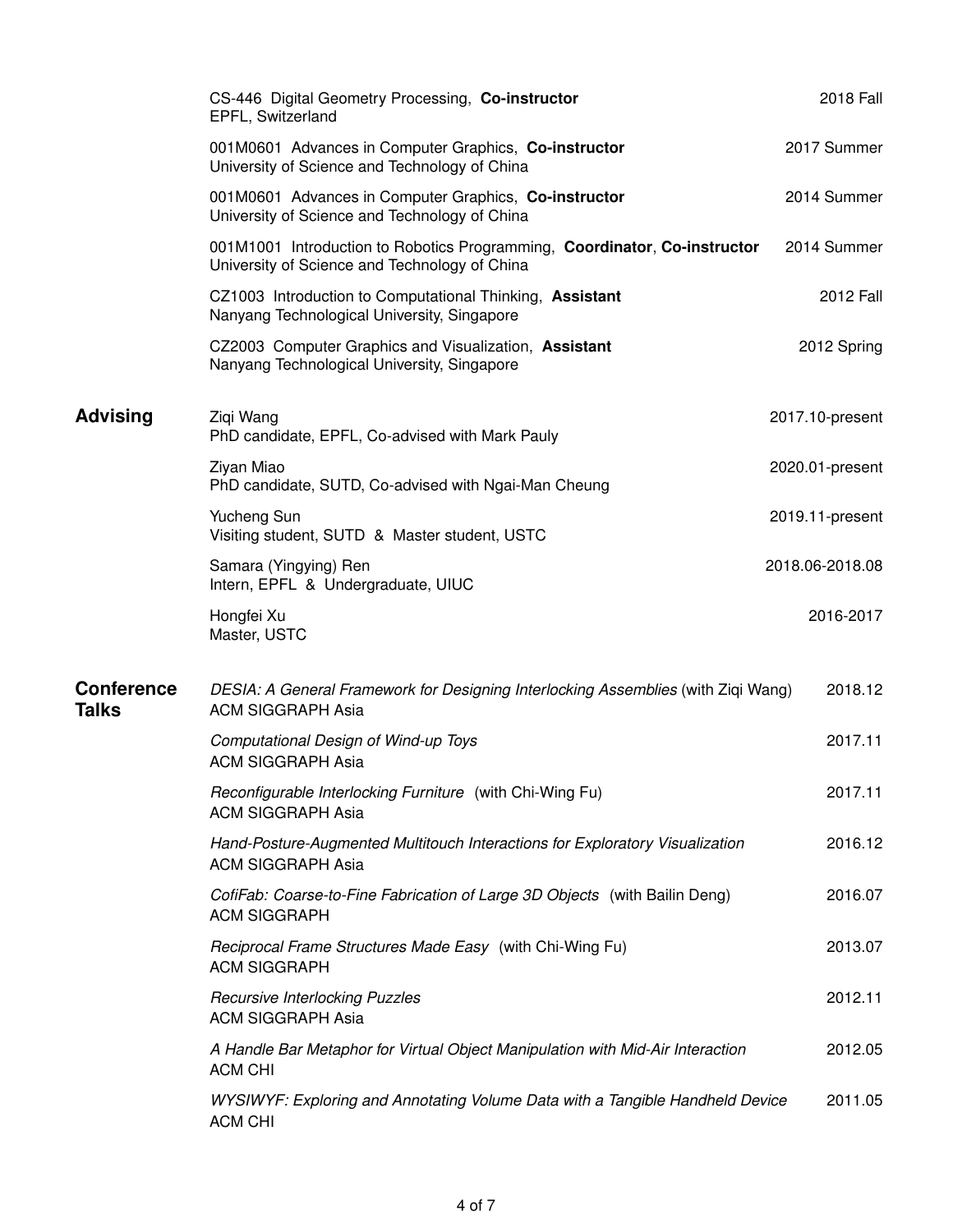|                                   | CS-446 Digital Geometry Processing, Co-instructor<br>EPFL, Switzerland                                                     | 2018 Fall        |
|-----------------------------------|----------------------------------------------------------------------------------------------------------------------------|------------------|
|                                   | 001M0601 Advances in Computer Graphics, Co-instructor<br>University of Science and Technology of China                     | 2017 Summer      |
|                                   | 001M0601 Advances in Computer Graphics, Co-instructor<br>University of Science and Technology of China                     | 2014 Summer      |
|                                   | 001M1001 Introduction to Robotics Programming, Coordinator, Co-instructor<br>University of Science and Technology of China | 2014 Summer      |
|                                   | CZ1003 Introduction to Computational Thinking, Assistant<br>Nanyang Technological University, Singapore                    | <b>2012 Fall</b> |
|                                   | CZ2003 Computer Graphics and Visualization, Assistant<br>Nanyang Technological University, Singapore                       | 2012 Spring      |
| <b>Advising</b>                   | Ziqi Wang<br>PhD candidate, EPFL, Co-advised with Mark Pauly                                                               | 2017.10-present  |
|                                   | Ziyan Miao<br>PhD candidate, SUTD, Co-advised with Ngai-Man Cheung                                                         | 2020.01-present  |
|                                   | Yucheng Sun<br>Visiting student, SUTD & Master student, USTC                                                               | 2019.11-present  |
|                                   | Samara (Yingying) Ren<br>Intern, EPFL & Undergraduate, UIUC                                                                | 2018.06-2018.08  |
|                                   | Hongfei Xu<br>Master, USTC                                                                                                 | 2016-2017        |
| <b>Conference</b><br><b>Talks</b> | DESIA: A General Framework for Designing Interlocking Assemblies (with Ziqi Wang)<br><b>ACM SIGGRAPH Asia</b>              | 2018.12          |
|                                   | Computational Design of Wind-up Toys<br><b>ACM SIGGRAPH Asia</b>                                                           | 2017.11          |
|                                   | Reconfigurable Interlocking Furniture (with Chi-Wing Fu)<br><b>ACM SIGGRAPH Asia</b>                                       | 2017.11          |
|                                   | Hand-Posture-Augmented Multitouch Interactions for Exploratory Visualization<br><b>ACM SIGGRAPH Asia</b>                   | 2016.12          |
|                                   | CofiFab: Coarse-to-Fine Fabrication of Large 3D Objects (with Bailin Deng)<br><b>ACM SIGGRAPH</b>                          | 2016.07          |
|                                   | Reciprocal Frame Structures Made Easy (with Chi-Wing Fu)<br><b>ACM SIGGRAPH</b>                                            | 2013.07          |
|                                   | <b>Recursive Interlocking Puzzles</b><br><b>ACM SIGGRAPH Asia</b>                                                          | 2012.11          |
|                                   | A Handle Bar Metaphor for Virtual Object Manipulation with Mid-Air Interaction<br><b>ACM CHI</b>                           | 2012.05          |
|                                   | WYSIWYF: Exploring and Annotating Volume Data with a Tangible Handheld Device<br>ACM CHI                                   | 2011.05          |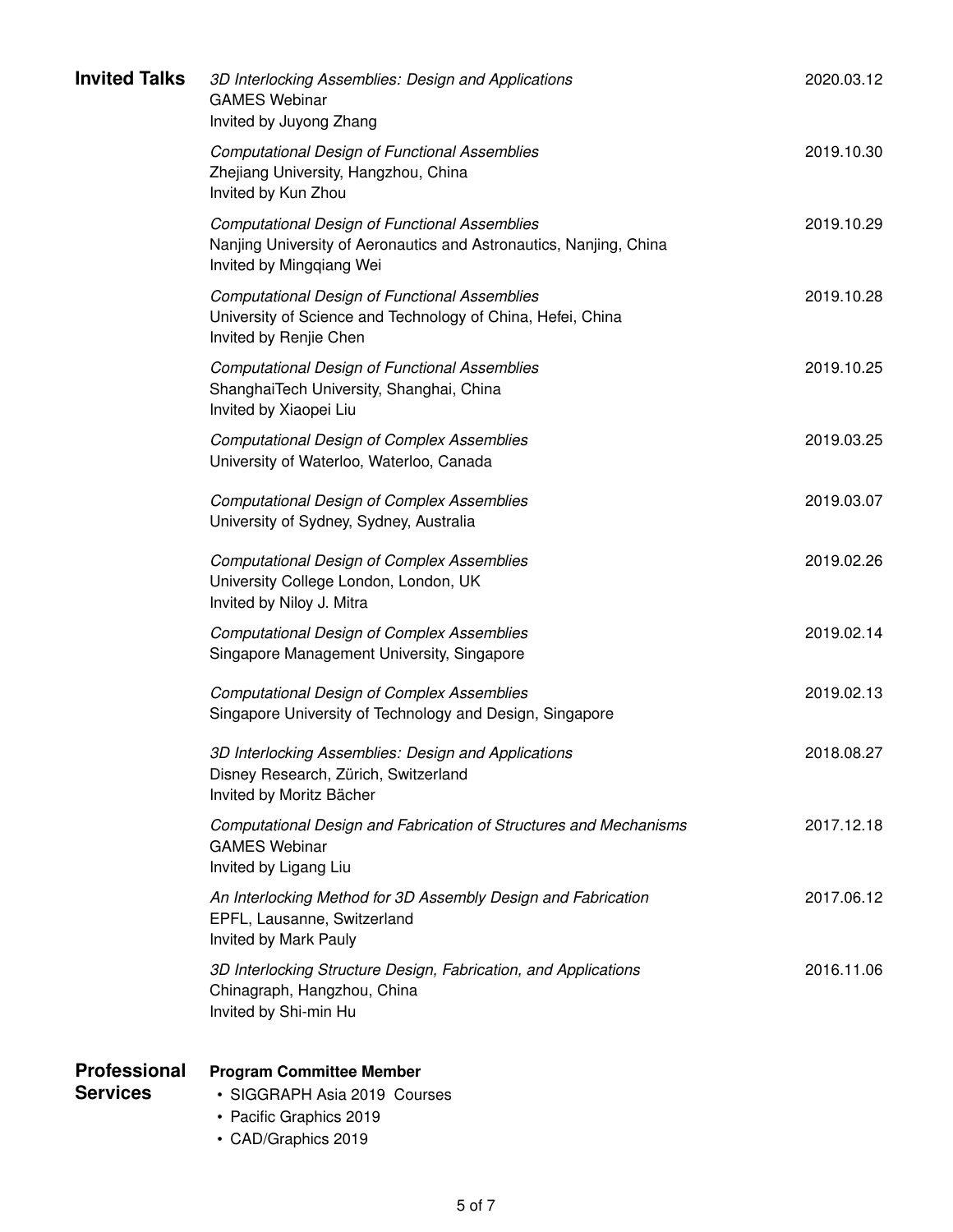| <b>Invited Talks</b>            | 3D Interlocking Assemblies: Design and Applications<br><b>GAMES Webinar</b><br>Invited by Juyong Zhang                                                 | 2020.03.12 |
|---------------------------------|--------------------------------------------------------------------------------------------------------------------------------------------------------|------------|
|                                 | <b>Computational Design of Functional Assemblies</b><br>Zhejiang University, Hangzhou, China<br>Invited by Kun Zhou                                    | 2019.10.30 |
|                                 | <b>Computational Design of Functional Assemblies</b><br>Nanjing University of Aeronautics and Astronautics, Nanjing, China<br>Invited by Mingqiang Wei | 2019.10.29 |
|                                 | <b>Computational Design of Functional Assemblies</b><br>University of Science and Technology of China, Hefei, China<br>Invited by Renjie Chen          | 2019.10.28 |
|                                 | <b>Computational Design of Functional Assemblies</b><br>ShanghaiTech University, Shanghai, China<br>Invited by Xiaopei Liu                             | 2019.10.25 |
|                                 | <b>Computational Design of Complex Assemblies</b><br>University of Waterloo, Waterloo, Canada                                                          | 2019.03.25 |
|                                 | <b>Computational Design of Complex Assemblies</b><br>University of Sydney, Sydney, Australia                                                           | 2019.03.07 |
|                                 | <b>Computational Design of Complex Assemblies</b><br>University College London, London, UK<br>Invited by Niloy J. Mitra                                | 2019.02.26 |
|                                 | <b>Computational Design of Complex Assemblies</b><br>Singapore Management University, Singapore                                                        | 2019.02.14 |
|                                 | <b>Computational Design of Complex Assemblies</b><br>Singapore University of Technology and Design, Singapore                                          | 2019.02.13 |
|                                 | 3D Interlocking Assemblies: Design and Applications<br>Disney Research, Zürich, Switzerland<br>Invited by Moritz Bächer                                | 2018.08.27 |
|                                 | Computational Design and Fabrication of Structures and Mechanisms<br><b>GAMES Webinar</b><br>Invited by Ligang Liu                                     | 2017.12.18 |
|                                 | An Interlocking Method for 3D Assembly Design and Fabrication<br>EPFL, Lausanne, Switzerland<br>Invited by Mark Pauly                                  | 2017.06.12 |
|                                 | 3D Interlocking Structure Design, Fabrication, and Applications<br>Chinagraph, Hangzhou, China<br>Invited by Shi-min Hu                                | 2016.11.06 |
| Professional<br><b>Services</b> | <b>Program Committee Member</b><br>• SIGGRAPH Asia 2019 Courses                                                                                        |            |

- Pacific Graphics 2019
- CAD/Graphics 2019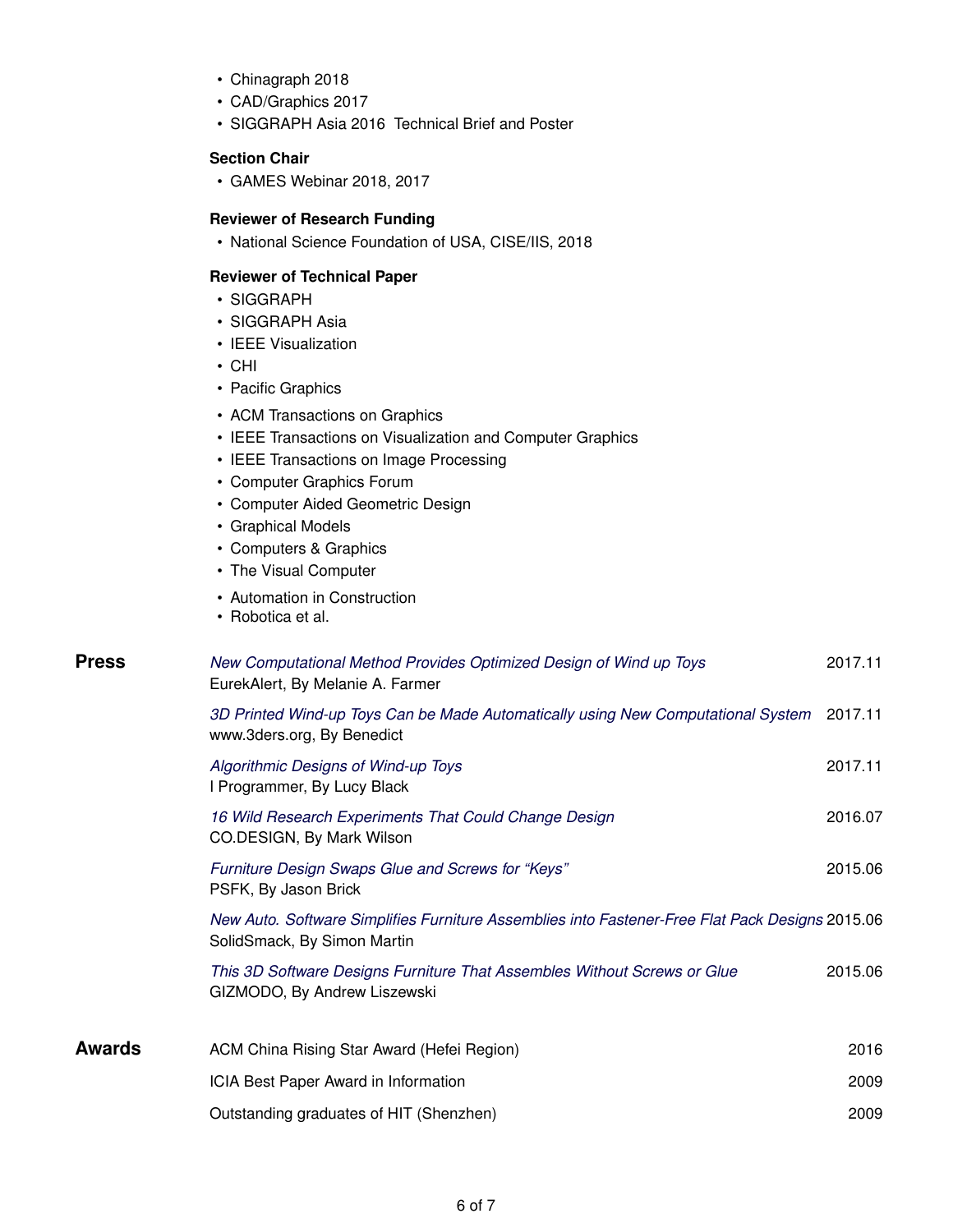- Chinagraph 2018
- CAD/Graphics 2017
- SIGGRAPH Asia 2016 Technical Brief and Poster

#### **Section Chair**

• GAMES Webinar 2018, 2017

#### **Reviewer of Research Funding**

• National Science Foundation of USA, CISE/IIS, 2018

#### **Reviewer of Technical Paper**

- SIGGRAPH
- SIGGRAPH Asia
- IEEE Visualization
- CHI
- Pacific Graphics
- ACM Transactions on Graphics
- IEEE Transactions on Visualization and Computer Graphics
- IEEE Transactions on Image Processing
- Computer Graphics Forum
- Computer Aided Geometric Design
- Graphical Models
- Computers & Graphics
- The Visual Computer
- Automation in Construction
- Robotica et al.

| <b>Press</b> | New Computational Method Provides Optimized Design of Wind up Toys<br>EurekAlert, By Melanie A. Farmer                         | 2017.11 |
|--------------|--------------------------------------------------------------------------------------------------------------------------------|---------|
|              | 3D Printed Wind-up Toys Can be Made Automatically using New Computational System<br>www.3ders.org, By Benedict                 | 2017.11 |
|              | Algorithmic Designs of Wind-up Toys<br>I Programmer, By Lucy Black                                                             | 2017.11 |
|              | 16 Wild Research Experiments That Could Change Design<br>CO.DESIGN, By Mark Wilson                                             | 2016.07 |
|              | Furniture Design Swaps Glue and Screws for "Keys"<br>PSFK, By Jason Brick                                                      | 2015.06 |
|              | New Auto. Software Simplifies Furniture Assemblies into Fastener-Free Flat Pack Designs 2015.06<br>SolidSmack, By Simon Martin |         |
|              | This 3D Software Designs Furniture That Assembles Without Screws or Glue<br>GIZMODO, By Andrew Liszewski                       | 2015.06 |
| Awards       | ACM China Rising Star Award (Hefei Region)                                                                                     | 2016    |
|              | ICIA Best Paper Award in Information                                                                                           | 2009    |
|              | Outstanding graduates of HIT (Shenzhen)                                                                                        | 2009    |